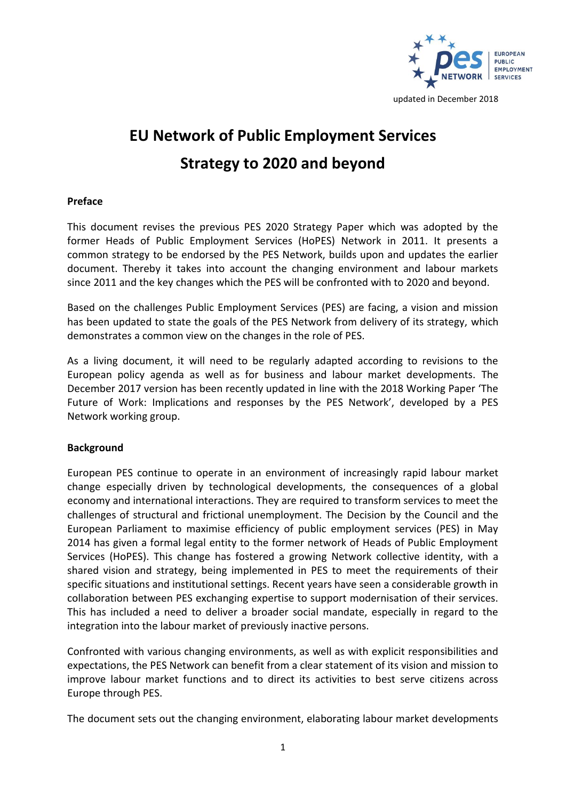

# **EU Network of Public Employment Services Strategy to 2020 and beyond**

# **Preface**

This document revises the previous PES 2020 Strategy Paper which was adopted by the former Heads of Public Employment Services (HoPES) Network in 2011. It presents a common strategy to be endorsed by the PES Network, builds upon and updates the earlier document. Thereby it takes into account the changing environment and labour markets since 2011 and the key changes which the PES will be confronted with to 2020 and beyond.

Based on the challenges Public Employment Services (PES) are facing, a vision and mission has been updated to state the goals of the PES Network from delivery of its strategy, which demonstrates a common view on the changes in the role of PES.

As a living document, it will need to be regularly adapted according to revisions to the European policy agenda as well as for business and labour market developments. The December 2017 version has been recently updated in line with the 2018 Working Paper 'The Future of Work: Implications and responses by the PES Network', developed by a PES Network working group.

## **Background**

European PES continue to operate in an environment of increasingly rapid labour market change especially driven by technological developments, the consequences of a global economy and international interactions. They are required to transform services to meet the challenges of structural and frictional unemployment. The Decision by the Council and the European Parliament to maximise efficiency of public employment services (PES) in May 2014 has given a formal legal entity to the former network of Heads of Public Employment Services (HoPES). This change has fostered a growing Network collective identity, with a shared vision and strategy, being implemented in PES to meet the requirements of their specific situations and institutional settings. Recent years have seen a considerable growth in collaboration between PES exchanging expertise to support modernisation of their services. This has included a need to deliver a broader social mandate, especially in regard to the integration into the labour market of previously inactive persons.

Confronted with various changing environments, as well as with explicit responsibilities and expectations, the PES Network can benefit from a clear statement of its vision and mission to improve labour market functions and to direct its activities to best serve citizens across Europe through PES.

The document sets out the changing environment, elaborating labour market developments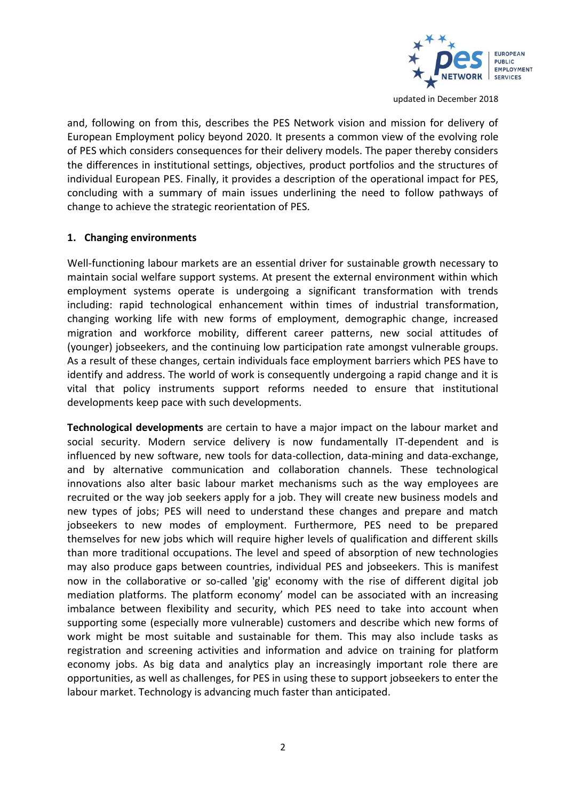

and, following on from this, describes the PES Network vision and mission for delivery of European Employment policy beyond 2020. It presents a common view of the evolving role of PES which considers consequences for their delivery models. The paper thereby considers the differences in institutional settings, objectives, product portfolios and the structures of individual European PES. Finally, it provides a description of the operational impact for PES, concluding with a summary of main issues underlining the need to follow pathways of change to achieve the strategic reorientation of PES.

#### **1. Changing environments**

Well-functioning labour markets are an essential driver for sustainable growth necessary to maintain social welfare support systems. At present the external environment within which employment systems operate is undergoing a significant transformation with trends including: rapid technological enhancement within times of industrial transformation, changing working life with new forms of employment, demographic change, increased migration and workforce mobility, different career patterns, new social attitudes of (younger) jobseekers, and the continuing low participation rate amongst vulnerable groups. As a result of these changes, certain individuals face employment barriers which PES have to identify and address. The world of work is consequently undergoing a rapid change and it is vital that policy instruments support reforms needed to ensure that institutional developments keep pace with such developments.

**Technological developments** are certain to have a major impact on the labour market and social security. Modern service delivery is now fundamentally IT-dependent and is influenced by new software, new tools for data-collection, data-mining and data-exchange, and by alternative communication and collaboration channels. These technological innovations also alter basic labour market mechanisms such as the way employees are recruited or the way job seekers apply for a job. They will create new business models and new types of jobs; PES will need to understand these changes and prepare and match jobseekers to new modes of employment. Furthermore, PES need to be prepared themselves for new jobs which will require higher levels of qualification and different skills than more traditional occupations. The level and speed of absorption of new technologies may also produce gaps between countries, individual PES and jobseekers. This is manifest now in the collaborative or so-called 'gig' economy with the rise of different digital job mediation platforms. The platform economy' model can be associated with an increasing imbalance between flexibility and security, which PES need to take into account when supporting some (especially more vulnerable) customers and describe which new forms of work might be most suitable and sustainable for them. This may also include tasks as registration and screening activities and information and advice on training for platform economy jobs. As big data and analytics play an increasingly important role there are opportunities, as well as challenges, for PES in using these to support jobseekers to enter the labour market. Technology is advancing much faster than anticipated.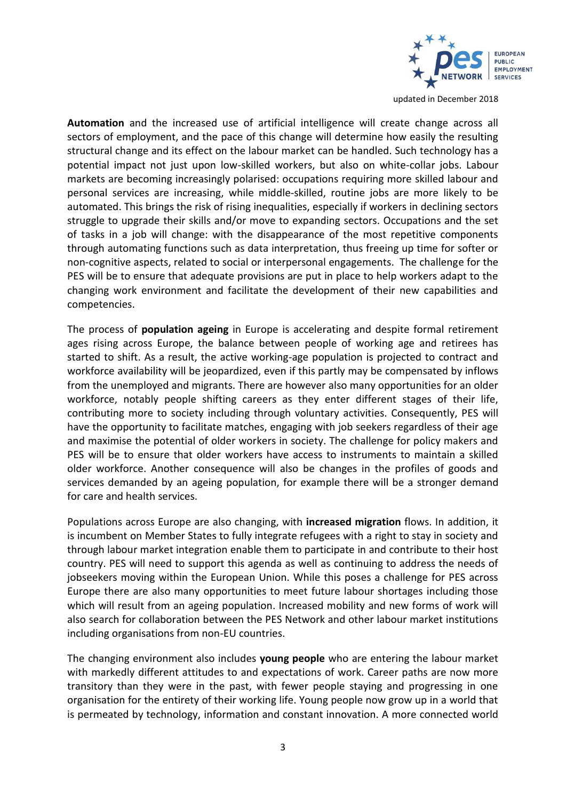

**Automation** and the increased use of artificial intelligence will create change across all sectors of employment, and the pace of this change will determine how easily the resulting structural change and its effect on the labour market can be handled. Such technology has a potential impact not just upon low-skilled workers, but also on white-collar jobs. Labour markets are becoming increasingly polarised: occupations requiring more skilled labour and personal services are increasing, while middle-skilled, routine jobs are more likely to be automated. This brings the risk of rising inequalities, especially if workers in declining sectors struggle to upgrade their skills and/or move to expanding sectors. Occupations and the set of tasks in a job will change: with the disappearance of the most repetitive components through automating functions such as data interpretation, thus freeing up time for softer or non-cognitive aspects, related to social or interpersonal engagements. The challenge for the PES will be to ensure that adequate provisions are put in place to help workers adapt to the changing work environment and facilitate the development of their new capabilities and competencies.

The process of **population ageing** in Europe is accelerating and despite formal retirement ages rising across Europe, the balance between people of working age and retirees has started to shift. As a result, the active working-age population is projected to contract and workforce availability will be jeopardized, even if this partly may be compensated by inflows from the unemployed and migrants. There are however also many opportunities for an older workforce, notably people shifting careers as they enter different stages of their life, contributing more to society including through voluntary activities. Consequently, PES will have the opportunity to facilitate matches, engaging with job seekers regardless of their age and maximise the potential of older workers in society. The challenge for policy makers and PES will be to ensure that older workers have access to instruments to maintain a skilled older workforce. Another consequence will also be changes in the profiles of goods and services demanded by an ageing population, for example there will be a stronger demand for care and health services.

Populations across Europe are also changing, with **increased migration** flows. In addition, it is incumbent on Member States to fully integrate refugees with a right to stay in society and through labour market integration enable them to participate in and contribute to their host country. PES will need to support this agenda as well as continuing to address the needs of jobseekers moving within the European Union. While this poses a challenge for PES across Europe there are also many opportunities to meet future labour shortages including those which will result from an ageing population. Increased mobility and new forms of work will also search for collaboration between the PES Network and other labour market institutions including organisations from non-EU countries.

The changing environment also includes **young people** who are entering the labour market with markedly different attitudes to and expectations of work. Career paths are now more transitory than they were in the past, with fewer people staying and progressing in one organisation for the entirety of their working life. Young people now grow up in a world that is permeated by technology, information and constant innovation. A more connected world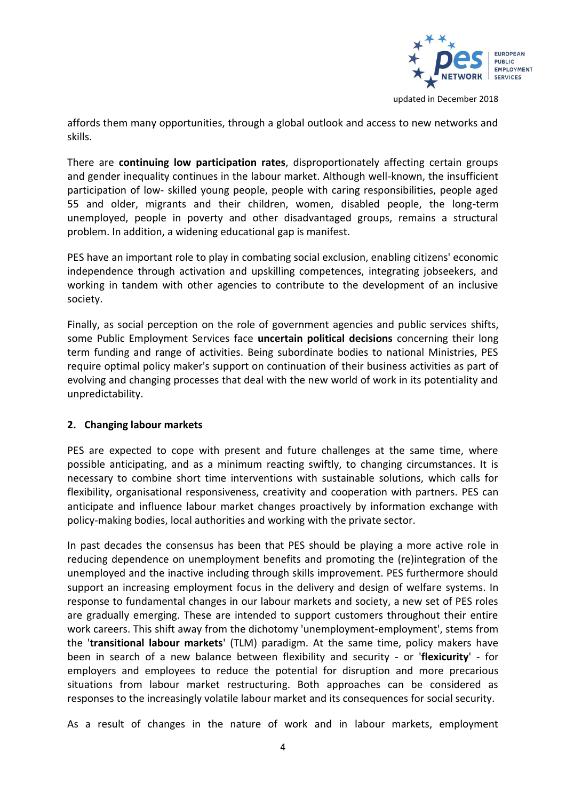

affords them many opportunities, through a global outlook and access to new networks and skills.

There are **continuing low participation rates**, disproportionately affecting certain groups and gender inequality continues in the labour market. Although well-known, the insufficient participation of low- skilled young people, people with caring responsibilities, people aged 55 and older, migrants and their children, women, disabled people, the long-term unemployed, people in poverty and other disadvantaged groups, remains a structural problem. In addition, a widening educational gap is manifest.

PES have an important role to play in combating social exclusion, enabling citizens' economic independence through activation and upskilling competences, integrating jobseekers, and working in tandem with other agencies to contribute to the development of an inclusive society.

Finally, as social perception on the role of government agencies and public services shifts, some Public Employment Services face **uncertain political decisions** concerning their long term funding and range of activities. Being subordinate bodies to national Ministries, PES require optimal policy maker's support on continuation of their business activities as part of evolving and changing processes that deal with the new world of work in its potentiality and unpredictability.

## **2. Changing labour markets**

PES are expected to cope with present and future challenges at the same time, where possible anticipating, and as a minimum reacting swiftly, to changing circumstances. It is necessary to combine short time interventions with sustainable solutions, which calls for flexibility, organisational responsiveness, creativity and cooperation with partners. PES can anticipate and influence labour market changes proactively by information exchange with policy-making bodies, local authorities and working with the private sector.

In past decades the consensus has been that PES should be playing a more active role in reducing dependence on unemployment benefits and promoting the (re)integration of the unemployed and the inactive including through skills improvement. PES furthermore should support an increasing employment focus in the delivery and design of welfare systems. In response to fundamental changes in our labour markets and society, a new set of PES roles are gradually emerging. These are intended to support customers throughout their entire work careers. This shift away from the dichotomy 'unemployment-employment', stems from the '**transitional labour markets**' (TLM) paradigm. At the same time, policy makers have been in search of a new balance between flexibility and security - or '**flexicurity**' - for employers and employees to reduce the potential for disruption and more precarious situations from labour market restructuring. Both approaches can be considered as responses to the increasingly volatile labour market and its consequences for social security.

As a result of changes in the nature of work and in labour markets, employment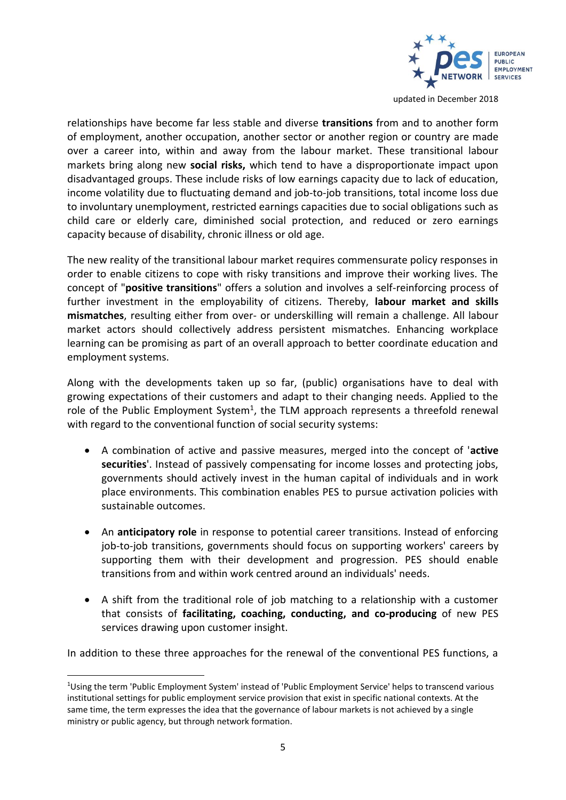

relationships have become far less stable and diverse **transitions** from and to another form of employment, another occupation, another sector or another region or country are made over a career into, within and away from the labour market. These transitional labour markets bring along new **social risks,** which tend to have a disproportionate impact upon disadvantaged groups. These include risks of low earnings capacity due to lack of education, income volatility due to fluctuating demand and job-to-job transitions, total income loss due to involuntary unemployment, restricted earnings capacities due to social obligations such as child care or elderly care, diminished social protection, and reduced or zero earnings capacity because of disability, chronic illness or old age.

The new reality of the transitional labour market requires commensurate policy responses in order to enable citizens to cope with risky transitions and improve their working lives. The concept of "**positive transitions**" offers a solution and involves a self-reinforcing process of further investment in the employability of citizens. Thereby, **labour market and skills mismatches**, resulting either from over- or underskilling will remain a challenge. All labour market actors should collectively address persistent mismatches. Enhancing workplace learning can be promising as part of an overall approach to better coordinate education and employment systems.

Along with the developments taken up so far, (public) organisations have to deal with growing expectations of their customers and adapt to their changing needs. Applied to the role of the Public Employment System<sup>1</sup>, the TLM approach represents a threefold renewal with regard to the conventional function of social security systems:

- A combination of active and passive measures, merged into the concept of '**active securities**'. Instead of passively compensating for income losses and protecting jobs, governments should actively invest in the human capital of individuals and in work place environments. This combination enables PES to pursue activation policies with sustainable outcomes.
- An **anticipatory role** in response to potential career transitions. Instead of enforcing job-to-job transitions, governments should focus on supporting workers' careers by supporting them with their development and progression. PES should enable transitions from and within work centred around an individuals' needs.
- A shift from the traditional role of job matching to a relationship with a customer that consists of **facilitating, coaching, conducting, and co-producing** of new PES services drawing upon customer insight.

In addition to these three approaches for the renewal of the conventional PES functions, a

1

<sup>1</sup>Using the term 'Public Employment System' instead of 'Public Employment Service' helps to transcend various institutional settings for public employment service provision that exist in specific national contexts. At the same time, the term expresses the idea that the governance of labour markets is not achieved by a single ministry or public agency, but through network formation.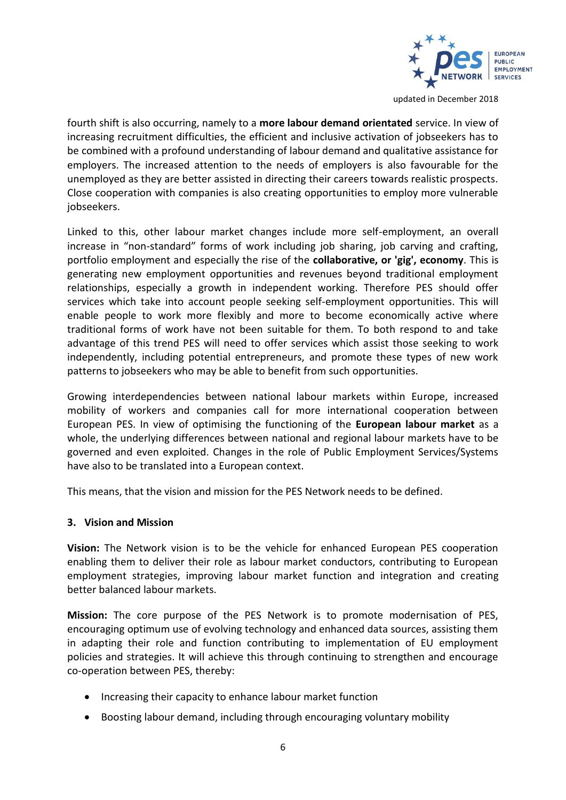

fourth shift is also occurring, namely to a **more labour demand orientated** service. In view of increasing recruitment difficulties, the efficient and inclusive activation of jobseekers has to be combined with a profound understanding of labour demand and qualitative assistance for employers. The increased attention to the needs of employers is also favourable for the unemployed as they are better assisted in directing their careers towards realistic prospects. Close cooperation with companies is also creating opportunities to employ more vulnerable jobseekers.

Linked to this, other labour market changes include more self-employment, an overall increase in "non-standard" forms of work including job sharing, job carving and crafting, portfolio employment and especially the rise of the **collaborative, or 'gig', economy**. This is generating new employment opportunities and revenues beyond traditional employment relationships, especially a growth in independent working. Therefore PES should offer services which take into account people seeking self-employment opportunities. This will enable people to work more flexibly and more to become economically active where traditional forms of work have not been suitable for them. To both respond to and take advantage of this trend PES will need to offer services which assist those seeking to work independently, including potential entrepreneurs, and promote these types of new work patterns to jobseekers who may be able to benefit from such opportunities.

Growing interdependencies between national labour markets within Europe, increased mobility of workers and companies call for more international cooperation between European PES. In view of optimising the functioning of the **European labour market** as a whole, the underlying differences between national and regional labour markets have to be governed and even exploited. Changes in the role of Public Employment Services/Systems have also to be translated into a European context.

This means, that the vision and mission for the PES Network needs to be defined.

#### **3. Vision and Mission**

**Vision:** The Network vision is to be the vehicle for enhanced European PES cooperation enabling them to deliver their role as labour market conductors, contributing to European employment strategies, improving labour market function and integration and creating better balanced labour markets.

**Mission:** The core purpose of the PES Network is to promote modernisation of PES, encouraging optimum use of evolving technology and enhanced data sources, assisting them in adapting their role and function contributing to implementation of EU employment policies and strategies. It will achieve this through continuing to strengthen and encourage co-operation between PES, thereby:

- Increasing their capacity to enhance labour market function
- Boosting labour demand, including through encouraging voluntary mobility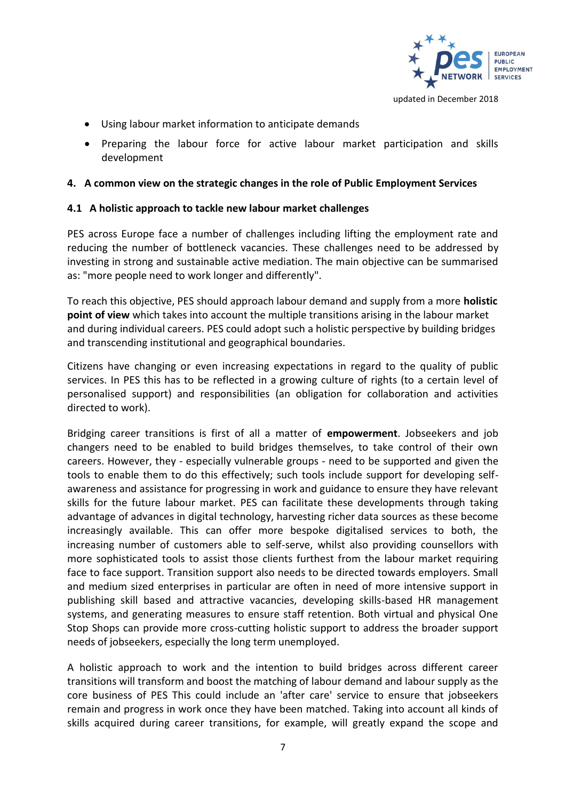

- Using labour market information to anticipate demands
- Preparing the labour force for active labour market participation and skills development

# **4. A common view on the strategic changes in the role of Public Employment Services**

# **4.1 A holistic approach to tackle new labour market challenges**

PES across Europe face a number of challenges including lifting the employment rate and reducing the number of bottleneck vacancies. These challenges need to be addressed by investing in strong and sustainable active mediation. The main objective can be summarised as: "more people need to work longer and differently".

To reach this objective, PES should approach labour demand and supply from a more **holistic point of view** which takes into account the multiple transitions arising in the labour market and during individual careers. PES could adopt such a holistic perspective by building bridges and transcending institutional and geographical boundaries.

Citizens have changing or even increasing expectations in regard to the quality of public services. In PES this has to be reflected in a growing culture of rights (to a certain level of personalised support) and responsibilities (an obligation for collaboration and activities directed to work).

Bridging career transitions is first of all a matter of **empowerment**. Jobseekers and job changers need to be enabled to build bridges themselves, to take control of their own careers. However, they - especially vulnerable groups - need to be supported and given the tools to enable them to do this effectively; such tools include support for developing selfawareness and assistance for progressing in work and guidance to ensure they have relevant skills for the future labour market. PES can facilitate these developments through taking advantage of advances in digital technology, harvesting richer data sources as these become increasingly available. This can offer more bespoke digitalised services to both, the increasing number of customers able to self-serve, whilst also providing counsellors with more sophisticated tools to assist those clients furthest from the labour market requiring face to face support. Transition support also needs to be directed towards employers. Small and medium sized enterprises in particular are often in need of more intensive support in publishing skill based and attractive vacancies, developing skills-based HR management systems, and generating measures to ensure staff retention. Both virtual and physical One Stop Shops can provide more cross-cutting holistic support to address the broader support needs of jobseekers, especially the long term unemployed.

A holistic approach to work and the intention to build bridges across different career transitions will transform and boost the matching of labour demand and labour supply as the core business of PES This could include an 'after care' service to ensure that jobseekers remain and progress in work once they have been matched. Taking into account all kinds of skills acquired during career transitions, for example, will greatly expand the scope and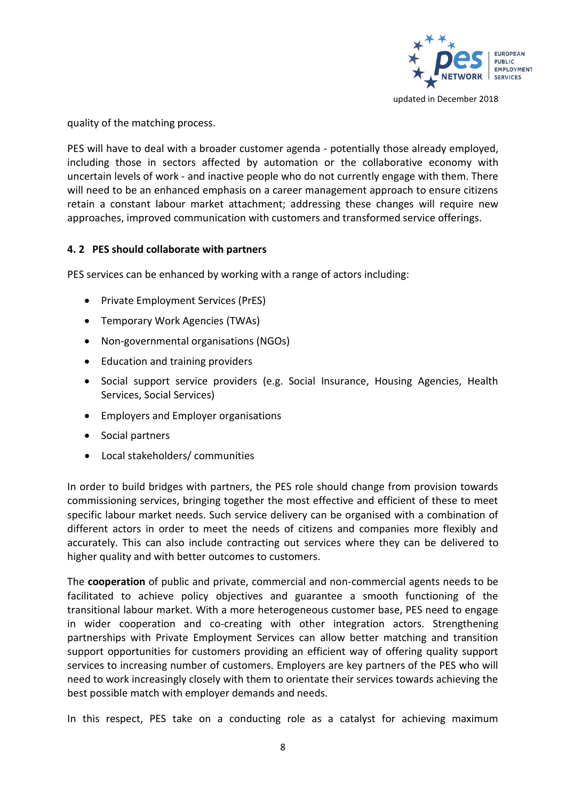

quality of the matching process.

PES will have to deal with a broader customer agenda - potentially those already employed, including those in sectors affected by automation or the collaborative economy with uncertain levels of work - and inactive people who do not currently engage with them. There will need to be an enhanced emphasis on a career management approach to ensure citizens retain a constant labour market attachment; addressing these changes will require new approaches, improved communication with customers and transformed service offerings.

# **4. 2 PES should collaborate with partners**

PES services can be enhanced by working with a range of actors including:

- Private Employment Services (PrES)
- Temporary Work Agencies (TWAs)
- Non-governmental organisations (NGOs)
- Education and training providers
- Social support service providers (e.g. Social Insurance, Housing Agencies, Health Services, Social Services)
- Employers and Employer organisations
- Social partners
- Local stakeholders/ communities

In order to build bridges with partners, the PES role should change from provision towards commissioning services, bringing together the most effective and efficient of these to meet specific labour market needs. Such service delivery can be organised with a combination of different actors in order to meet the needs of citizens and companies more flexibly and accurately. This can also include contracting out services where they can be delivered to higher quality and with better outcomes to customers.

The **cooperation** of public and private, commercial and non-commercial agents needs to be facilitated to achieve policy objectives and guarantee a smooth functioning of the transitional labour market. With a more heterogeneous customer base, PES need to engage in wider cooperation and co-creating with other integration actors. Strengthening partnerships with Private Employment Services can allow better matching and transition support opportunities for customers providing an efficient way of offering quality support services to increasing number of customers. Employers are key partners of the PES who will need to work increasingly closely with them to orientate their services towards achieving the best possible match with employer demands and needs.

In this respect, PES take on a conducting role as a catalyst for achieving maximum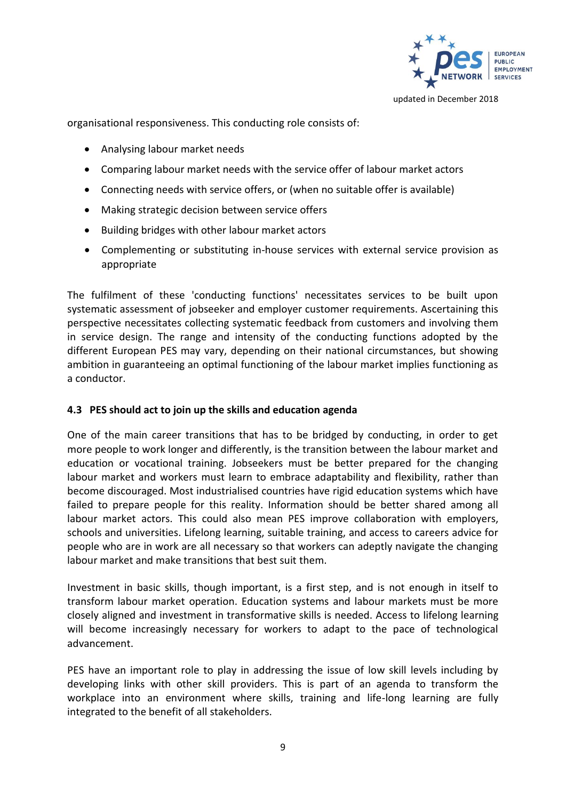

organisational responsiveness. This conducting role consists of:

- Analysing labour market needs
- Comparing labour market needs with the service offer of labour market actors
- Connecting needs with service offers, or (when no suitable offer is available)
- Making strategic decision between service offers
- Building bridges with other labour market actors
- Complementing or substituting in-house services with external service provision as appropriate

The fulfilment of these 'conducting functions' necessitates services to be built upon systematic assessment of jobseeker and employer customer requirements. Ascertaining this perspective necessitates collecting systematic feedback from customers and involving them in service design. The range and intensity of the conducting functions adopted by the different European PES may vary, depending on their national circumstances, but showing ambition in guaranteeing an optimal functioning of the labour market implies functioning as a conductor.

## **4.3 PES should act to join up the skills and education agenda**

One of the main career transitions that has to be bridged by conducting, in order to get more people to work longer and differently, is the transition between the labour market and education or vocational training. Jobseekers must be better prepared for the changing labour market and workers must learn to embrace adaptability and flexibility, rather than become discouraged. Most industrialised countries have rigid education systems which have failed to prepare people for this reality. Information should be better shared among all labour market actors. This could also mean PES improve collaboration with employers, schools and universities. Lifelong learning, suitable training, and access to careers advice for people who are in work are all necessary so that workers can adeptly navigate the changing labour market and make transitions that best suit them.

Investment in basic skills, though important, is a first step, and is not enough in itself to transform labour market operation. Education systems and labour markets must be more closely aligned and investment in transformative skills is needed. Access to lifelong learning will become increasingly necessary for workers to adapt to the pace of technological advancement.

PES have an important role to play in addressing the issue of low skill levels including by developing links with other skill providers. This is part of an agenda to transform the workplace into an environment where skills, training and life-long learning are fully integrated to the benefit of all stakeholders.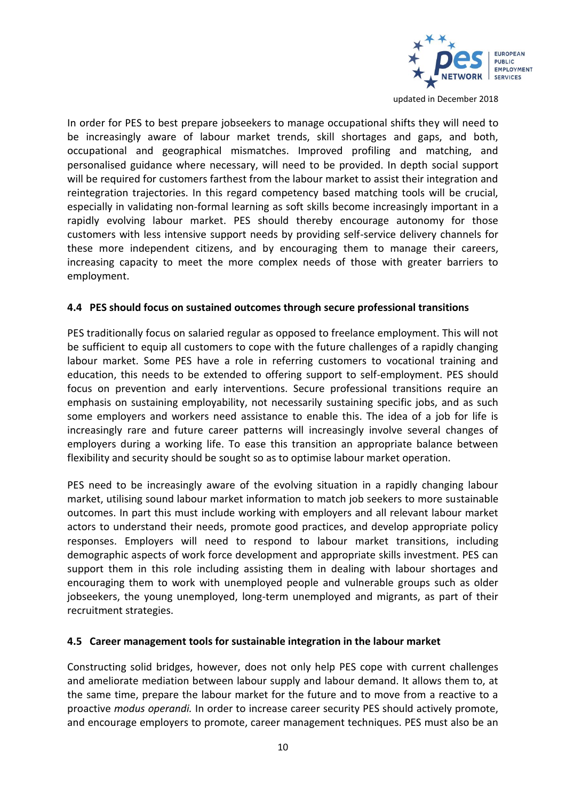

In order for PES to best prepare jobseekers to manage occupational shifts they will need to be increasingly aware of labour market trends, skill shortages and gaps, and both, occupational and geographical mismatches. Improved profiling and matching, and personalised guidance where necessary, will need to be provided. In depth social support will be required for customers farthest from the labour market to assist their integration and reintegration trajectories. In this regard competency based matching tools will be crucial, especially in validating non-formal learning as soft skills become increasingly important in a rapidly evolving labour market. PES should thereby encourage autonomy for those customers with less intensive support needs by providing self-service delivery channels for these more independent citizens, and by encouraging them to manage their careers, increasing capacity to meet the more complex needs of those with greater barriers to employment.

## **4.4 PES should focus on sustained outcomes through secure professional transitions**

PES traditionally focus on salaried regular as opposed to freelance employment. This will not be sufficient to equip all customers to cope with the future challenges of a rapidly changing labour market. Some PES have a role in referring customers to vocational training and education, this needs to be extended to offering support to self-employment. PES should focus on prevention and early interventions. Secure professional transitions require an emphasis on sustaining employability, not necessarily sustaining specific jobs, and as such some employers and workers need assistance to enable this. The idea of a job for life is increasingly rare and future career patterns will increasingly involve several changes of employers during a working life. To ease this transition an appropriate balance between flexibility and security should be sought so as to optimise labour market operation.

PES need to be increasingly aware of the evolving situation in a rapidly changing labour market, utilising sound labour market information to match job seekers to more sustainable outcomes. In part this must include working with employers and all relevant labour market actors to understand their needs, promote good practices, and develop appropriate policy responses. Employers will need to respond to labour market transitions, including demographic aspects of work force development and appropriate skills investment. PES can support them in this role including assisting them in dealing with labour shortages and encouraging them to work with unemployed people and vulnerable groups such as older jobseekers, the young unemployed, long-term unemployed and migrants, as part of their recruitment strategies.

#### **4.5 Career management tools for sustainable integration in the labour market**

Constructing solid bridges, however, does not only help PES cope with current challenges and ameliorate mediation between labour supply and labour demand. It allows them to, at the same time, prepare the labour market for the future and to move from a reactive to a proactive *modus operandi.* In order to increase career security PES should actively promote, and encourage employers to promote, career management techniques. PES must also be an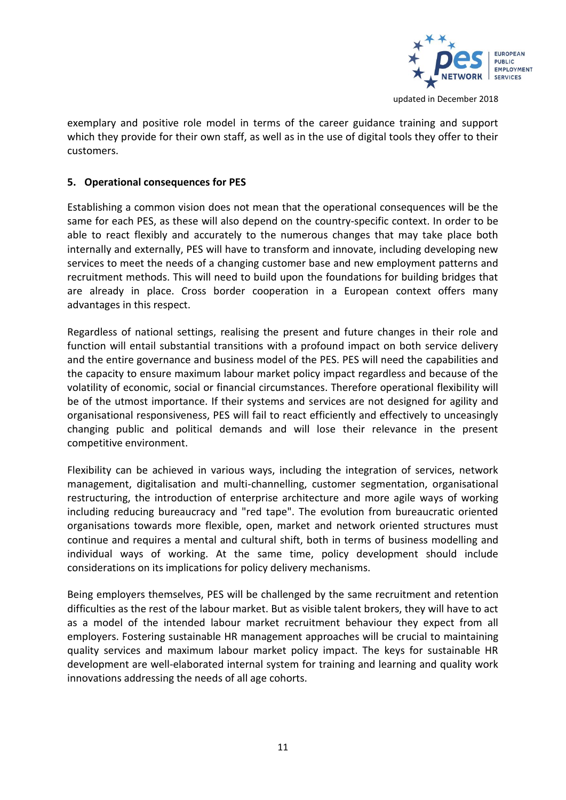

exemplary and positive role model in terms of the career guidance training and support which they provide for their own staff, as well as in the use of digital tools they offer to their customers.

# **5. Operational consequences for PES**

Establishing a common vision does not mean that the operational consequences will be the same for each PES, as these will also depend on the country-specific context. In order to be able to react flexibly and accurately to the numerous changes that may take place both internally and externally, PES will have to transform and innovate, including developing new services to meet the needs of a changing customer base and new employment patterns and recruitment methods. This will need to build upon the foundations for building bridges that are already in place. Cross border cooperation in a European context offers many advantages in this respect.

Regardless of national settings, realising the present and future changes in their role and function will entail substantial transitions with a profound impact on both service delivery and the entire governance and business model of the PES. PES will need the capabilities and the capacity to ensure maximum labour market policy impact regardless and because of the volatility of economic, social or financial circumstances. Therefore operational flexibility will be of the utmost importance. If their systems and services are not designed for agility and organisational responsiveness, PES will fail to react efficiently and effectively to unceasingly changing public and political demands and will lose their relevance in the present competitive environment.

Flexibility can be achieved in various ways, including the integration of services, network management, digitalisation and multi-channelling, customer segmentation, organisational restructuring, the introduction of enterprise architecture and more agile ways of working including reducing bureaucracy and "red tape". The evolution from bureaucratic oriented organisations towards more flexible, open, market and network oriented structures must continue and requires a mental and cultural shift, both in terms of business modelling and individual ways of working. At the same time, policy development should include considerations on its implications for policy delivery mechanisms.

Being employers themselves, PES will be challenged by the same recruitment and retention difficulties as the rest of the labour market. But as visible talent brokers, they will have to act as a model of the intended labour market recruitment behaviour they expect from all employers. Fostering sustainable HR management approaches will be crucial to maintaining quality services and maximum labour market policy impact. The keys for sustainable HR development are well-elaborated internal system for training and learning and quality work innovations addressing the needs of all age cohorts.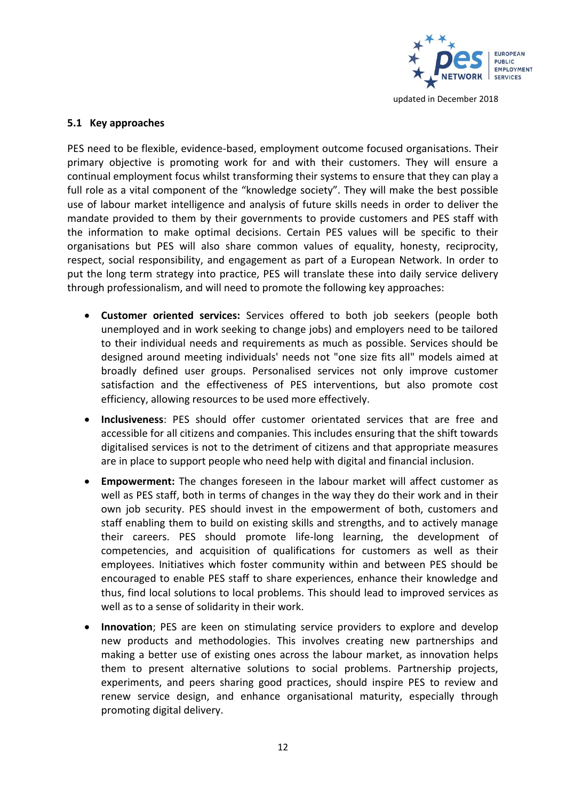

## **5.1 Key approaches**

PES need to be flexible, evidence-based, employment outcome focused organisations. Their primary objective is promoting work for and with their customers. They will ensure a continual employment focus whilst transforming their systems to ensure that they can play a full role as a vital component of the "knowledge society". They will make the best possible use of labour market intelligence and analysis of future skills needs in order to deliver the mandate provided to them by their governments to provide customers and PES staff with the information to make optimal decisions. Certain PES values will be specific to their organisations but PES will also share common values of equality, honesty, reciprocity, respect, social responsibility, and engagement as part of a European Network. In order to put the long term strategy into practice, PES will translate these into daily service delivery through professionalism, and will need to promote the following key approaches:

- **Customer oriented services:** Services offered to both job seekers (people both unemployed and in work seeking to change jobs) and employers need to be tailored to their individual needs and requirements as much as possible. Services should be designed around meeting individuals' needs not "one size fits all" models aimed at broadly defined user groups. Personalised services not only improve customer satisfaction and the effectiveness of PES interventions, but also promote cost efficiency, allowing resources to be used more effectively.
- **Inclusiveness**: PES should offer customer orientated services that are free and accessible for all citizens and companies. This includes ensuring that the shift towards digitalised services is not to the detriment of citizens and that appropriate measures are in place to support people who need help with digital and financial inclusion.
- **Empowerment:** The changes foreseen in the labour market will affect customer as well as PES staff, both in terms of changes in the way they do their work and in their own job security. PES should invest in the empowerment of both, customers and staff enabling them to build on existing skills and strengths, and to actively manage their careers. PES should promote life-long learning, the development of competencies, and acquisition of qualifications for customers as well as their employees. Initiatives which foster community within and between PES should be encouraged to enable PES staff to share experiences, enhance their knowledge and thus, find local solutions to local problems. This should lead to improved services as well as to a sense of solidarity in their work.
- **Innovation**; PES are keen on stimulating service providers to explore and develop new products and methodologies. This involves creating new partnerships and making a better use of existing ones across the labour market, as innovation helps them to present alternative solutions to social problems. Partnership projects, experiments, and peers sharing good practices, should inspire PES to review and renew service design, and enhance organisational maturity, especially through promoting digital delivery.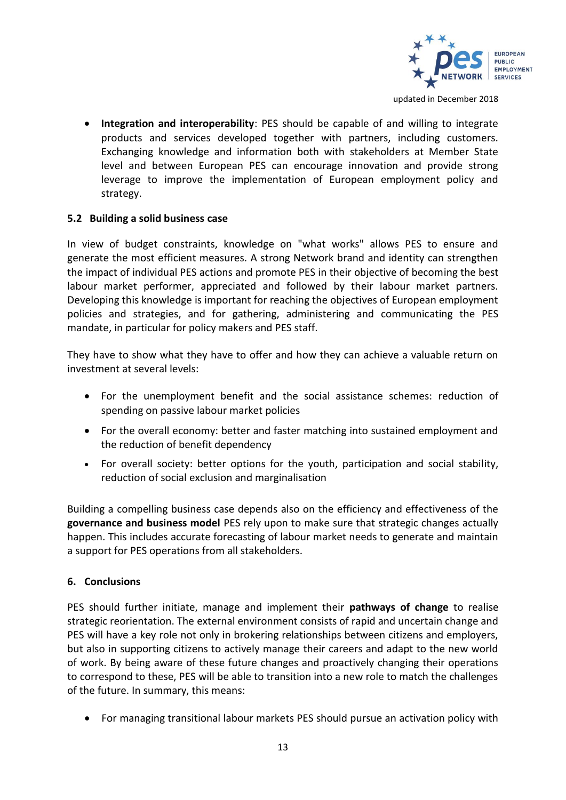

• **Integration and interoperability**: PES should be capable of and willing to integrate products and services developed together with partners, including customers. Exchanging knowledge and information both with stakeholders at Member State level and between European PES can encourage innovation and provide strong leverage to improve the implementation of European employment policy and strategy.

#### **5.2 Building a solid business case**

In view of budget constraints, knowledge on "what works" allows PES to ensure and generate the most efficient measures. A strong Network brand and identity can strengthen the impact of individual PES actions and promote PES in their objective of becoming the best labour market performer, appreciated and followed by their labour market partners. Developing this knowledge is important for reaching the objectives of European employment policies and strategies, and for gathering, administering and communicating the PES mandate, in particular for policy makers and PES staff.

They have to show what they have to offer and how they can achieve a valuable return on investment at several levels:

- For the unemployment benefit and the social assistance schemes: reduction of spending on passive labour market policies
- For the overall economy: better and faster matching into sustained employment and the reduction of benefit dependency
- For overall society: better options for the youth, participation and social stability, reduction of social exclusion and marginalisation

Building a compelling business case depends also on the efficiency and effectiveness of the **governance and business model** PES rely upon to make sure that strategic changes actually happen. This includes accurate forecasting of labour market needs to generate and maintain a support for PES operations from all stakeholders.

## **6. Conclusions**

PES should further initiate, manage and implement their **pathways of change** to realise strategic reorientation. The external environment consists of rapid and uncertain change and PES will have a key role not only in brokering relationships between citizens and employers, but also in supporting citizens to actively manage their careers and adapt to the new world of work. By being aware of these future changes and proactively changing their operations to correspond to these, PES will be able to transition into a new role to match the challenges of the future. In summary, this means:

• For managing transitional labour markets PES should pursue an activation policy with